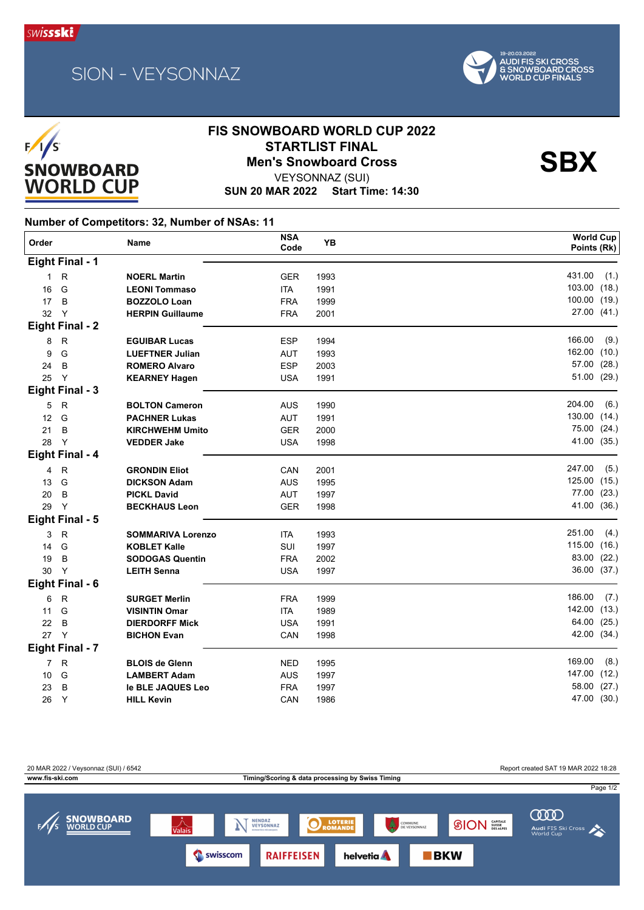





## **FIS SNOWBOARD WORLD CUP 2022** STARTLIST FINAL<br>Men's Snowboard Cross<br>\\EXSONNAZ\(SLII)

VEYSONNAZ (SUI)

**SUN 20 MAR 2022 Start Time: 14:30**

**Number of Competitors: 32, Number of NSAs: 11**

| Eight Final - 1<br>431.00<br>(1.)<br>$\mathsf{R}$<br><b>NOERL Martin</b><br>$\mathbf{1}$<br><b>GER</b><br>1993<br>103.00 (18.)<br>G<br>16<br><b>LEONI Tommaso</b><br><b>ITA</b><br>1991<br>100.00 (19.)<br>17<br>B<br><b>BOZZOLO Loan</b><br><b>FRA</b><br>1999<br>27.00 (41.)<br>32<br>Y<br><b>HERPIN Guillaume</b><br><b>FRA</b><br>2001<br><b>Eight Final - 2</b><br>166.00<br>(9.)<br>$\mathsf{R}$<br><b>ESP</b><br>8<br><b>EGUIBAR Lucas</b><br>1994<br>162.00<br>(10.)<br>G<br>9<br><b>LUEFTNER Julian</b><br><b>AUT</b><br>1993<br>57.00 (28.)<br><b>ESP</b><br>24<br>B<br><b>ROMERO Alvaro</b><br>2003<br>51.00 (29.)<br>Y<br>25<br><b>USA</b><br><b>KEARNEY Hagen</b><br>1991<br>Eight Final - 3<br>204.00<br>(6.)<br>5<br>$\mathsf{R}$<br><b>BOLTON Cameron</b><br><b>AUS</b><br>1990<br>130.00 (14.)<br>G<br>12<br>AUT<br><b>PACHNER Lukas</b><br>1991<br>75.00 (24.)<br>21<br>B<br><b>KIRCHWEHM Umito</b><br><b>GER</b><br>2000<br>41.00 (35.)<br>$\mathsf{Y}$<br>28<br><b>VEDDER Jake</b><br><b>USA</b><br>1998<br>Eight Final - 4<br>247.00<br>(5.)<br>$\mathsf{R}$<br>4<br><b>GRONDIN Eliot</b><br>CAN<br>2001<br>125.00 (15.)<br>G<br>13<br><b>AUS</b><br><b>DICKSON Adam</b><br>1995<br>77.00 (23.)<br>20<br>B<br>AUT<br><b>PICKL David</b><br>1997<br>41.00 (36.)<br>$\mathsf{Y}$<br>29<br><b>BECKHAUS Leon</b><br><b>GER</b><br>1998<br>Eight Final - 5<br>251.00<br>(4.)<br>$\mathsf{R}$<br>3<br><b>SOMMARIVA Lorenzo</b><br><b>ITA</b><br>1993<br>115.00 (16.)<br>G<br>14<br><b>KOBLET Kalle</b><br>SUI<br>1997<br>83.00 (22.)<br>19<br>B<br><b>SODOGAS Quentin</b><br><b>FRA</b><br>2002<br>36.00 (37.)<br>Y<br>30<br><b>LEITH Senna</b><br><b>USA</b><br>1997<br>Eight Final - 6<br>186.00<br>(7.)<br>$\mathsf{R}$<br>6<br><b>SURGET Merlin</b><br><b>FRA</b><br>1999<br>142.00 (13.)<br>G<br>11<br><b>VISINTIN Omar</b><br><b>ITA</b><br>1989<br>64.00 (25.)<br>22<br>B<br><b>DIERDORFF Mick</b><br><b>USA</b><br>1991<br>42.00 (34.)<br>$\mathsf{Y}$<br>27<br>CAN<br><b>BICHON Evan</b><br>1998<br>Eight Final - 7<br>169.00<br>(8.)<br>7 R<br><b>BLOIS de Glenn</b><br><b>NED</b><br>1995<br>147.00 (12.)<br>G<br><b>AUS</b><br>10<br><b>LAMBERT Adam</b><br>1997<br>58.00 (27.)<br>B<br><b>FRA</b><br>23<br>le BLE JAQUES Leo<br>1997<br>47.00 (30.)<br>Y<br>26<br><b>HILL Kevin</b><br>CAN<br>1986 | Order | <b>Name</b> | <b>NSA</b><br>Code | YB | <b>World Cup</b><br>Points (Rk) |
|--------------------------------------------------------------------------------------------------------------------------------------------------------------------------------------------------------------------------------------------------------------------------------------------------------------------------------------------------------------------------------------------------------------------------------------------------------------------------------------------------------------------------------------------------------------------------------------------------------------------------------------------------------------------------------------------------------------------------------------------------------------------------------------------------------------------------------------------------------------------------------------------------------------------------------------------------------------------------------------------------------------------------------------------------------------------------------------------------------------------------------------------------------------------------------------------------------------------------------------------------------------------------------------------------------------------------------------------------------------------------------------------------------------------------------------------------------------------------------------------------------------------------------------------------------------------------------------------------------------------------------------------------------------------------------------------------------------------------------------------------------------------------------------------------------------------------------------------------------------------------------------------------------------------------------------------------------------------------------------------------------------------------------------------------------------------------------------------------------------------------------------------------------------------------------------------------------------------------------------------------------------------------------------------------------------------------------|-------|-------------|--------------------|----|---------------------------------|
|                                                                                                                                                                                                                                                                                                                                                                                                                                                                                                                                                                                                                                                                                                                                                                                                                                                                                                                                                                                                                                                                                                                                                                                                                                                                                                                                                                                                                                                                                                                                                                                                                                                                                                                                                                                                                                                                                                                                                                                                                                                                                                                                                                                                                                                                                                                                |       |             |                    |    |                                 |
|                                                                                                                                                                                                                                                                                                                                                                                                                                                                                                                                                                                                                                                                                                                                                                                                                                                                                                                                                                                                                                                                                                                                                                                                                                                                                                                                                                                                                                                                                                                                                                                                                                                                                                                                                                                                                                                                                                                                                                                                                                                                                                                                                                                                                                                                                                                                |       |             |                    |    |                                 |
|                                                                                                                                                                                                                                                                                                                                                                                                                                                                                                                                                                                                                                                                                                                                                                                                                                                                                                                                                                                                                                                                                                                                                                                                                                                                                                                                                                                                                                                                                                                                                                                                                                                                                                                                                                                                                                                                                                                                                                                                                                                                                                                                                                                                                                                                                                                                |       |             |                    |    |                                 |
|                                                                                                                                                                                                                                                                                                                                                                                                                                                                                                                                                                                                                                                                                                                                                                                                                                                                                                                                                                                                                                                                                                                                                                                                                                                                                                                                                                                                                                                                                                                                                                                                                                                                                                                                                                                                                                                                                                                                                                                                                                                                                                                                                                                                                                                                                                                                |       |             |                    |    |                                 |
|                                                                                                                                                                                                                                                                                                                                                                                                                                                                                                                                                                                                                                                                                                                                                                                                                                                                                                                                                                                                                                                                                                                                                                                                                                                                                                                                                                                                                                                                                                                                                                                                                                                                                                                                                                                                                                                                                                                                                                                                                                                                                                                                                                                                                                                                                                                                |       |             |                    |    |                                 |
|                                                                                                                                                                                                                                                                                                                                                                                                                                                                                                                                                                                                                                                                                                                                                                                                                                                                                                                                                                                                                                                                                                                                                                                                                                                                                                                                                                                                                                                                                                                                                                                                                                                                                                                                                                                                                                                                                                                                                                                                                                                                                                                                                                                                                                                                                                                                |       |             |                    |    |                                 |
|                                                                                                                                                                                                                                                                                                                                                                                                                                                                                                                                                                                                                                                                                                                                                                                                                                                                                                                                                                                                                                                                                                                                                                                                                                                                                                                                                                                                                                                                                                                                                                                                                                                                                                                                                                                                                                                                                                                                                                                                                                                                                                                                                                                                                                                                                                                                |       |             |                    |    |                                 |
|                                                                                                                                                                                                                                                                                                                                                                                                                                                                                                                                                                                                                                                                                                                                                                                                                                                                                                                                                                                                                                                                                                                                                                                                                                                                                                                                                                                                                                                                                                                                                                                                                                                                                                                                                                                                                                                                                                                                                                                                                                                                                                                                                                                                                                                                                                                                |       |             |                    |    |                                 |
|                                                                                                                                                                                                                                                                                                                                                                                                                                                                                                                                                                                                                                                                                                                                                                                                                                                                                                                                                                                                                                                                                                                                                                                                                                                                                                                                                                                                                                                                                                                                                                                                                                                                                                                                                                                                                                                                                                                                                                                                                                                                                                                                                                                                                                                                                                                                |       |             |                    |    |                                 |
|                                                                                                                                                                                                                                                                                                                                                                                                                                                                                                                                                                                                                                                                                                                                                                                                                                                                                                                                                                                                                                                                                                                                                                                                                                                                                                                                                                                                                                                                                                                                                                                                                                                                                                                                                                                                                                                                                                                                                                                                                                                                                                                                                                                                                                                                                                                                |       |             |                    |    |                                 |
|                                                                                                                                                                                                                                                                                                                                                                                                                                                                                                                                                                                                                                                                                                                                                                                                                                                                                                                                                                                                                                                                                                                                                                                                                                                                                                                                                                                                                                                                                                                                                                                                                                                                                                                                                                                                                                                                                                                                                                                                                                                                                                                                                                                                                                                                                                                                |       |             |                    |    |                                 |
|                                                                                                                                                                                                                                                                                                                                                                                                                                                                                                                                                                                                                                                                                                                                                                                                                                                                                                                                                                                                                                                                                                                                                                                                                                                                                                                                                                                                                                                                                                                                                                                                                                                                                                                                                                                                                                                                                                                                                                                                                                                                                                                                                                                                                                                                                                                                |       |             |                    |    |                                 |
|                                                                                                                                                                                                                                                                                                                                                                                                                                                                                                                                                                                                                                                                                                                                                                                                                                                                                                                                                                                                                                                                                                                                                                                                                                                                                                                                                                                                                                                                                                                                                                                                                                                                                                                                                                                                                                                                                                                                                                                                                                                                                                                                                                                                                                                                                                                                |       |             |                    |    |                                 |
|                                                                                                                                                                                                                                                                                                                                                                                                                                                                                                                                                                                                                                                                                                                                                                                                                                                                                                                                                                                                                                                                                                                                                                                                                                                                                                                                                                                                                                                                                                                                                                                                                                                                                                                                                                                                                                                                                                                                                                                                                                                                                                                                                                                                                                                                                                                                |       |             |                    |    |                                 |
|                                                                                                                                                                                                                                                                                                                                                                                                                                                                                                                                                                                                                                                                                                                                                                                                                                                                                                                                                                                                                                                                                                                                                                                                                                                                                                                                                                                                                                                                                                                                                                                                                                                                                                                                                                                                                                                                                                                                                                                                                                                                                                                                                                                                                                                                                                                                |       |             |                    |    |                                 |
|                                                                                                                                                                                                                                                                                                                                                                                                                                                                                                                                                                                                                                                                                                                                                                                                                                                                                                                                                                                                                                                                                                                                                                                                                                                                                                                                                                                                                                                                                                                                                                                                                                                                                                                                                                                                                                                                                                                                                                                                                                                                                                                                                                                                                                                                                                                                |       |             |                    |    |                                 |
|                                                                                                                                                                                                                                                                                                                                                                                                                                                                                                                                                                                                                                                                                                                                                                                                                                                                                                                                                                                                                                                                                                                                                                                                                                                                                                                                                                                                                                                                                                                                                                                                                                                                                                                                                                                                                                                                                                                                                                                                                                                                                                                                                                                                                                                                                                                                |       |             |                    |    |                                 |
|                                                                                                                                                                                                                                                                                                                                                                                                                                                                                                                                                                                                                                                                                                                                                                                                                                                                                                                                                                                                                                                                                                                                                                                                                                                                                                                                                                                                                                                                                                                                                                                                                                                                                                                                                                                                                                                                                                                                                                                                                                                                                                                                                                                                                                                                                                                                |       |             |                    |    |                                 |
|                                                                                                                                                                                                                                                                                                                                                                                                                                                                                                                                                                                                                                                                                                                                                                                                                                                                                                                                                                                                                                                                                                                                                                                                                                                                                                                                                                                                                                                                                                                                                                                                                                                                                                                                                                                                                                                                                                                                                                                                                                                                                                                                                                                                                                                                                                                                |       |             |                    |    |                                 |
|                                                                                                                                                                                                                                                                                                                                                                                                                                                                                                                                                                                                                                                                                                                                                                                                                                                                                                                                                                                                                                                                                                                                                                                                                                                                                                                                                                                                                                                                                                                                                                                                                                                                                                                                                                                                                                                                                                                                                                                                                                                                                                                                                                                                                                                                                                                                |       |             |                    |    |                                 |
|                                                                                                                                                                                                                                                                                                                                                                                                                                                                                                                                                                                                                                                                                                                                                                                                                                                                                                                                                                                                                                                                                                                                                                                                                                                                                                                                                                                                                                                                                                                                                                                                                                                                                                                                                                                                                                                                                                                                                                                                                                                                                                                                                                                                                                                                                                                                |       |             |                    |    |                                 |
|                                                                                                                                                                                                                                                                                                                                                                                                                                                                                                                                                                                                                                                                                                                                                                                                                                                                                                                                                                                                                                                                                                                                                                                                                                                                                                                                                                                                                                                                                                                                                                                                                                                                                                                                                                                                                                                                                                                                                                                                                                                                                                                                                                                                                                                                                                                                |       |             |                    |    |                                 |
|                                                                                                                                                                                                                                                                                                                                                                                                                                                                                                                                                                                                                                                                                                                                                                                                                                                                                                                                                                                                                                                                                                                                                                                                                                                                                                                                                                                                                                                                                                                                                                                                                                                                                                                                                                                                                                                                                                                                                                                                                                                                                                                                                                                                                                                                                                                                |       |             |                    |    |                                 |
|                                                                                                                                                                                                                                                                                                                                                                                                                                                                                                                                                                                                                                                                                                                                                                                                                                                                                                                                                                                                                                                                                                                                                                                                                                                                                                                                                                                                                                                                                                                                                                                                                                                                                                                                                                                                                                                                                                                                                                                                                                                                                                                                                                                                                                                                                                                                |       |             |                    |    |                                 |
|                                                                                                                                                                                                                                                                                                                                                                                                                                                                                                                                                                                                                                                                                                                                                                                                                                                                                                                                                                                                                                                                                                                                                                                                                                                                                                                                                                                                                                                                                                                                                                                                                                                                                                                                                                                                                                                                                                                                                                                                                                                                                                                                                                                                                                                                                                                                |       |             |                    |    |                                 |
|                                                                                                                                                                                                                                                                                                                                                                                                                                                                                                                                                                                                                                                                                                                                                                                                                                                                                                                                                                                                                                                                                                                                                                                                                                                                                                                                                                                                                                                                                                                                                                                                                                                                                                                                                                                                                                                                                                                                                                                                                                                                                                                                                                                                                                                                                                                                |       |             |                    |    |                                 |
|                                                                                                                                                                                                                                                                                                                                                                                                                                                                                                                                                                                                                                                                                                                                                                                                                                                                                                                                                                                                                                                                                                                                                                                                                                                                                                                                                                                                                                                                                                                                                                                                                                                                                                                                                                                                                                                                                                                                                                                                                                                                                                                                                                                                                                                                                                                                |       |             |                    |    |                                 |
|                                                                                                                                                                                                                                                                                                                                                                                                                                                                                                                                                                                                                                                                                                                                                                                                                                                                                                                                                                                                                                                                                                                                                                                                                                                                                                                                                                                                                                                                                                                                                                                                                                                                                                                                                                                                                                                                                                                                                                                                                                                                                                                                                                                                                                                                                                                                |       |             |                    |    |                                 |
|                                                                                                                                                                                                                                                                                                                                                                                                                                                                                                                                                                                                                                                                                                                                                                                                                                                                                                                                                                                                                                                                                                                                                                                                                                                                                                                                                                                                                                                                                                                                                                                                                                                                                                                                                                                                                                                                                                                                                                                                                                                                                                                                                                                                                                                                                                                                |       |             |                    |    |                                 |
|                                                                                                                                                                                                                                                                                                                                                                                                                                                                                                                                                                                                                                                                                                                                                                                                                                                                                                                                                                                                                                                                                                                                                                                                                                                                                                                                                                                                                                                                                                                                                                                                                                                                                                                                                                                                                                                                                                                                                                                                                                                                                                                                                                                                                                                                                                                                |       |             |                    |    |                                 |
|                                                                                                                                                                                                                                                                                                                                                                                                                                                                                                                                                                                                                                                                                                                                                                                                                                                                                                                                                                                                                                                                                                                                                                                                                                                                                                                                                                                                                                                                                                                                                                                                                                                                                                                                                                                                                                                                                                                                                                                                                                                                                                                                                                                                                                                                                                                                |       |             |                    |    |                                 |
|                                                                                                                                                                                                                                                                                                                                                                                                                                                                                                                                                                                                                                                                                                                                                                                                                                                                                                                                                                                                                                                                                                                                                                                                                                                                                                                                                                                                                                                                                                                                                                                                                                                                                                                                                                                                                                                                                                                                                                                                                                                                                                                                                                                                                                                                                                                                |       |             |                    |    |                                 |
|                                                                                                                                                                                                                                                                                                                                                                                                                                                                                                                                                                                                                                                                                                                                                                                                                                                                                                                                                                                                                                                                                                                                                                                                                                                                                                                                                                                                                                                                                                                                                                                                                                                                                                                                                                                                                                                                                                                                                                                                                                                                                                                                                                                                                                                                                                                                |       |             |                    |    |                                 |
|                                                                                                                                                                                                                                                                                                                                                                                                                                                                                                                                                                                                                                                                                                                                                                                                                                                                                                                                                                                                                                                                                                                                                                                                                                                                                                                                                                                                                                                                                                                                                                                                                                                                                                                                                                                                                                                                                                                                                                                                                                                                                                                                                                                                                                                                                                                                |       |             |                    |    |                                 |
|                                                                                                                                                                                                                                                                                                                                                                                                                                                                                                                                                                                                                                                                                                                                                                                                                                                                                                                                                                                                                                                                                                                                                                                                                                                                                                                                                                                                                                                                                                                                                                                                                                                                                                                                                                                                                                                                                                                                                                                                                                                                                                                                                                                                                                                                                                                                |       |             |                    |    |                                 |

20 MAR 2022 / Veysonnaz (SUI) / 6542 Report created SAT 19 MAR 2022 18:28 **www.fis-ski.com Timing/Scoring & data processing by Swiss Timing** Page 1/2 ന്ത **SNOWBOARD**<br>WORLD CUP NENDAZ  $\overrightarrow{\mathsf{Valais}}$  $\textcircled{s}$ ION  $_\text{DISSE}^\text{CAPITALE}$ **O** LOTERII **EXERNATION**<br>DE VEYSONNAZ Audi FIS Ski Cross  $BKN$ Swisscom **RAIFFEISEN** helvetia **A**